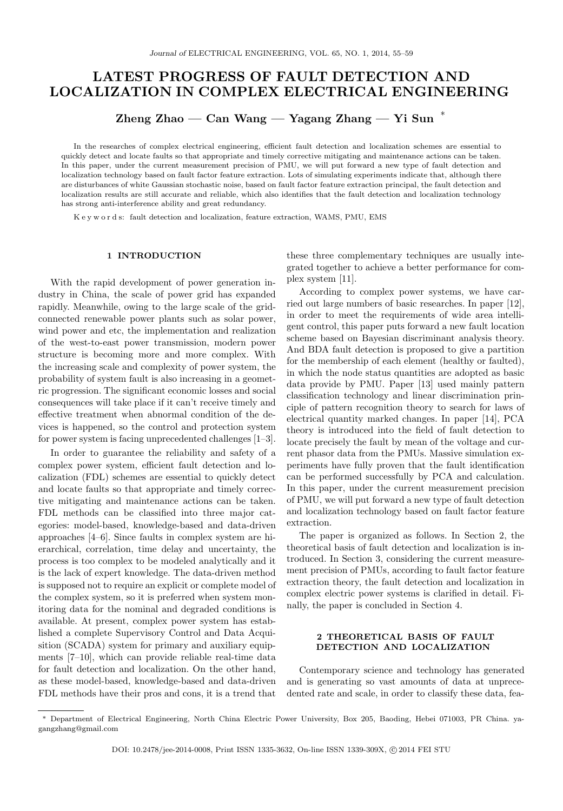# LATEST PROGRESS OF FAULT DETECTION AND LOCALIZATION IN COMPLEX ELECTRICAL ENGINEERING

 $\mathop{\rm Zheng}\nolimits$  Zhao — Can Wang — Yagang Zhang — Yi Sun  $^*$ 

In the researches of complex electrical engineering, efficient fault detection and localization schemes are essential to quickly detect and locate faults so that appropriate and timely corrective mitigating and maintenance actions can be taken. In this paper, under the current measurement precision of PMU, we will put forward a new type of fault detection and localization technology based on fault factor feature extraction. Lots of simulating experiments indicate that, although there are disturbances of white Gaussian stochastic noise, based on fault factor feature extraction principal, the fault detection and localization results are still accurate and reliable, which also identifies that the fault detection and localization technology has strong anti-interference ability and great redundancy.

K e y w o r d s: fault detection and localization, feature extraction, WAMS, PMU, EMS

#### 1 INTRODUCTION

With the rapid development of power generation industry in China, the scale of power grid has expanded rapidly. Meanwhile, owing to the large scale of the gridconnected renewable power plants such as solar power, wind power and etc, the implementation and realization of the west-to-east power transmission, modern power structure is becoming more and more complex. With the increasing scale and complexity of power system, the probability of system fault is also increasing in a geometric progression. The significant economic losses and social consequences will take place if it can't receive timely and effective treatment when abnormal condition of the devices is happened, so the control and protection system for power system is facing unprecedented challenges [1–3].

In order to guarantee the reliability and safety of a complex power system, efficient fault detection and localization (FDL) schemes are essential to quickly detect and locate faults so that appropriate and timely corrective mitigating and maintenance actions can be taken. FDL methods can be classified into three major categories: model-based, knowledge-based and data-driven approaches [4–6]. Since faults in complex system are hierarchical, correlation, time delay and uncertainty, the process is too complex to be modeled analytically and it is the lack of expert knowledge. The data-driven method is supposed not to require an explicit or complete model of the complex system, so it is preferred when system monitoring data for the nominal and degraded conditions is available. At present, complex power system has established a complete Supervisory Control and Data Acquisition (SCADA) system for primary and auxiliary equipments [7–10], which can provide reliable real-time data for fault detection and localization. On the other hand, as these model-based, knowledge-based and data-driven FDL methods have their pros and cons, it is a trend that

these three complementary techniques are usually integrated together to achieve a better performance for complex system [11].

According to complex power systems, we have carried out large numbers of basic researches. In paper [12], in order to meet the requirements of wide area intelligent control, this paper puts forward a new fault location scheme based on Bayesian discriminant analysis theory. And BDA fault detection is proposed to give a partition for the membership of each element (healthy or faulted), in which the node status quantities are adopted as basic data provide by PMU. Paper [13] used mainly pattern classification technology and linear discrimination principle of pattern recognition theory to search for laws of electrical quantity marked changes. In paper [14], PCA theory is introduced into the field of fault detection to locate precisely the fault by mean of the voltage and current phasor data from the PMUs. Massive simulation experiments have fully proven that the fault identification can be performed successfully by PCA and calculation. In this paper, under the current measurement precision of PMU, we will put forward a new type of fault detection and localization technology based on fault factor feature extraction.

The paper is organized as follows. In Section 2, the theoretical basis of fault detection and localization is introduced. In Section 3, considering the current measurement precision of PMUs, according to fault factor feature extraction theory, the fault detection and localization in complex electric power systems is clarified in detail. Finally, the paper is concluded in Section 4.

# 2 THEORETICAL BASIS OF FAULT DETECTION AND LOCALIZATION

Contemporary science and technology has generated and is generating so vast amounts of data at unprecedented rate and scale, in order to classify these data, fea-

<sup>∗</sup> Department of Electrical Engineering, North China Electric Power University, Box 205, Baoding, Hebei 071003, PR China. yagangzhang@gmail.com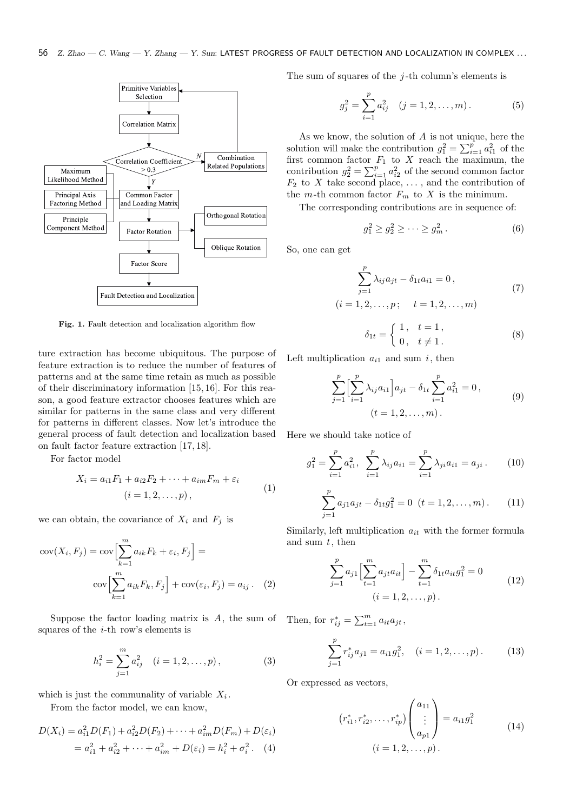

Fig. 1. Fault detection and localization algorithm flow

ture extraction has become ubiquitous. The purpose of feature extraction is to reduce the number of features of patterns and at the same time retain as much as possible of their discriminatory information [15, 16]. For this reason, a good feature extractor chooses features which are similar for patterns in the same class and very different for patterns in different classes. Now let's introduce the general process of fault detection and localization based on fault factor feature extraction [17, 18].

For factor model

$$
X_i = a_{i1}F_1 + a_{i2}F_2 + \dots + a_{im}F_m + \varepsilon_i
$$
  
(*i* = 1, 2, ..., *p*), (1)

we can obtain, the covariance of  $X_i$  and  $F_j$  is

$$
cov(X_i, F_j) = cov\left[\sum_{k=1}^m a_{ik} F_k + \varepsilon_i, F_j\right] = \newline cov\left[\sum_{k=1}^m a_{ik} F_k, F_j\right] + cov(\varepsilon_i, F_j) = a_{ij}.
$$
 (2)

Suppose the factor loading matrix is A, the sum of Then, for  $r_{ij}^* = \sum_{t=1}^m a_{it}a_{jt}$ , squares of the  $i$ -th row's elements is

$$
h_i^2 = \sum_{j=1}^m a_{ij}^2 \quad (i = 1, 2, \dots, p), \tag{3}
$$

which is just the communality of variable  $X_i$ .

From the factor model, we can know,

$$
D(X_i) = a_{i1}^2 D(F_1) + a_{i2}^2 D(F_2) + \dots + a_{im}^2 D(F_m) + D(\varepsilon_i)
$$
  
=  $a_{i1}^2 + a_{i2}^2 + \dots + a_{im}^2 + D(\varepsilon_i) = h_i^2 + \sigma_i^2$ . (4)

The sum of squares of the  $j$ -th column's elements is

$$
g_j^2 = \sum_{i=1}^p a_{ij}^2 \quad (j = 1, 2, \dots, m). \tag{5}
$$

As we know, the solution of A is not unique, here the solution will make the contribution  $g_1^2 = \sum_{i=1}^p a_{i1}^2$  of the first common factor  $F_1$  to X reach the maximum, the contribution  $g_2^2 = \sum_{i=1}^p a_{i2}^2$  of the second common factor  $F_2$  to X take second place, ..., and the contribution of the  $m$ -th common factor  $F_m$  to  $X$  is the minimum.

The corresponding contributions are in sequence of:

$$
g_1^2 \ge g_2^2 \ge \dots \ge g_m^2. \tag{6}
$$

So, one can get

$$
\sum_{j=1}^{p} \lambda_{ij} a_{jt} - \delta_{1t} a_{i1} = 0,
$$
  
(*i* = 1, 2, ..., *p*; *t* = 1, 2, ..., *m*) (7)

$$
\delta_{1t} = \begin{cases} 1, & t = 1, \\ 0, & t \neq 1. \end{cases}
$$
 (8)

Left multiplication  $a_{i1}$  and sum i, then

$$
\sum_{j=1}^{p} \left[ \sum_{i=1}^{p} \lambda_{ij} a_{i1} \right] a_{jt} - \delta_{1t} \sum_{i=1}^{p} a_{i1}^{2} = 0,
$$
\n
$$
(t = 1, 2, \dots, m).
$$
\n(9)

Here we should take notice of

$$
g_1^2 = \sum_{i=1}^p a_{i1}^2, \sum_{i=1}^p \lambda_{ij} a_{i1} = \sum_{i=1}^p \lambda_{ji} a_{i1} = a_{ji}.
$$
 (10)

$$
\sum_{j=1}^{p} a_{j1} a_{jt} - \delta_{1t} g_1^2 = 0 \quad (t = 1, 2, \dots, m). \tag{11}
$$

Similarly, left multiplication  $a_{it}$  with the former formula and sum  $t$ , then

$$
\sum_{j=1}^{p} a_{j1} \left[ \sum_{t=1}^{m} a_{jt} a_{it} \right] - \sum_{t=1}^{m} \delta_{1t} a_{it} g_1^2 = 0
$$
\n
$$
(i = 1, 2, ..., p).
$$
\n(12)

$$
\sum_{j=1}^{p} r_{ij}^{*} a_{j1} = a_{i1} g_1^2, \quad (i = 1, 2, \dots, p).
$$
 (13)

Or expressed as vectors,

$$
(r_{i1}^*, r_{i2}^*, \dots, r_{ip}^*)\begin{pmatrix} a_{11} \\ \vdots \\ a_{p1} \end{pmatrix} = a_{i1}g_1^2
$$
\n
$$
(i = 1, 2, \dots, p).
$$
\n(14)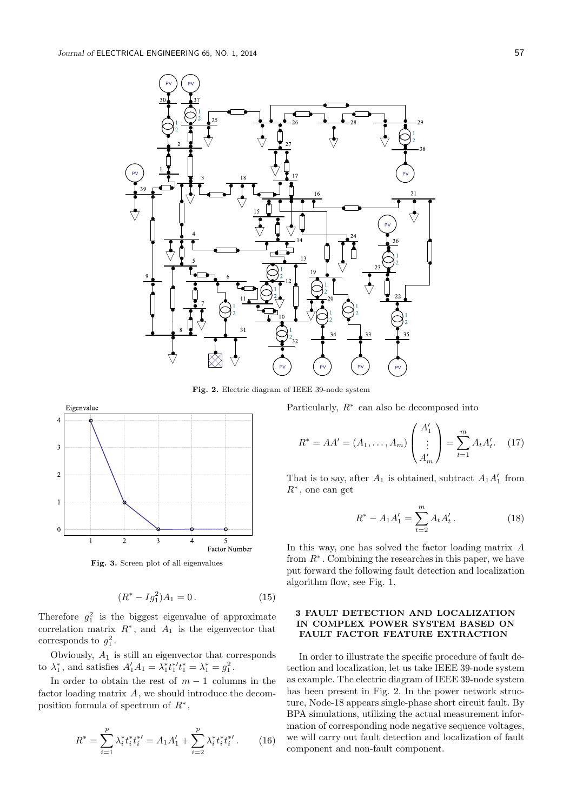

Fig. 2. Electric diagram of IEEE 39-node system



Fig. 3. Screen plot of all eigenvalues

$$
(R^* - Ig_1^2)A_1 = 0.
$$
 (15)

Therefore  $g_1^2$  is the biggest eigenvalue of approximate correlation matrix  $R^*$ , and  $A_1$  is the eigenvector that corresponds to  $g_1^2$ .

Obviously,  $A_1$  is still an eigenvector that corresponds to  $\lambda_1^*$ , and satisfies  $A'_1A_1 = \lambda_1^*t_1^*t_1^* = \lambda_1^* = g_1^2$ .

In order to obtain the rest of  $m-1$  columns in the factor loading matrix A, we should introduce the decomposition formula of spectrum of  $R^*$ ,

$$
R^* = \sum_{i=1}^p \lambda_i^* t_i^* t_i^{*\prime} = A_1 A_1' + \sum_{i=2}^p \lambda_i^* t_i^* t_i^{*\prime}.
$$
 (16)

Particularly,  $R^*$  can also be decomposed into

$$
R^* = AA' = (A_1, \dots, A_m) \begin{pmatrix} A'_1 \\ \vdots \\ A'_m \end{pmatrix} = \sum_{t=1}^m A_t A'_t. \quad (17)
$$

That is to say, after  $A_1$  is obtained, subtract  $A_1 A'_1$  from  $R^*$ , one can get

$$
R^* - A_1 A_1' = \sum_{t=2}^m A_t A_t'.
$$
 (18)

In this way, one has solved the factor loading matrix A from  $R^*$ . Combining the researches in this paper, we have put forward the following fault detection and localization algorithm flow, see Fig. 1.

# 3 FAULT DETECTION AND LOCALIZATION IN COMPLEX POWER SYSTEM BASED ON FAULT FACTOR FEATURE EXTRACTION

In order to illustrate the specific procedure of fault detection and localization, let us take IEEE 39-node system as example. The electric diagram of IEEE 39-node system has been present in Fig. 2. In the power network structure, Node-18 appears single-phase short circuit fault. By BPA simulations, utilizing the actual measurement information of corresponding node negative sequence voltages, we will carry out fault detection and localization of fault component and non-fault component.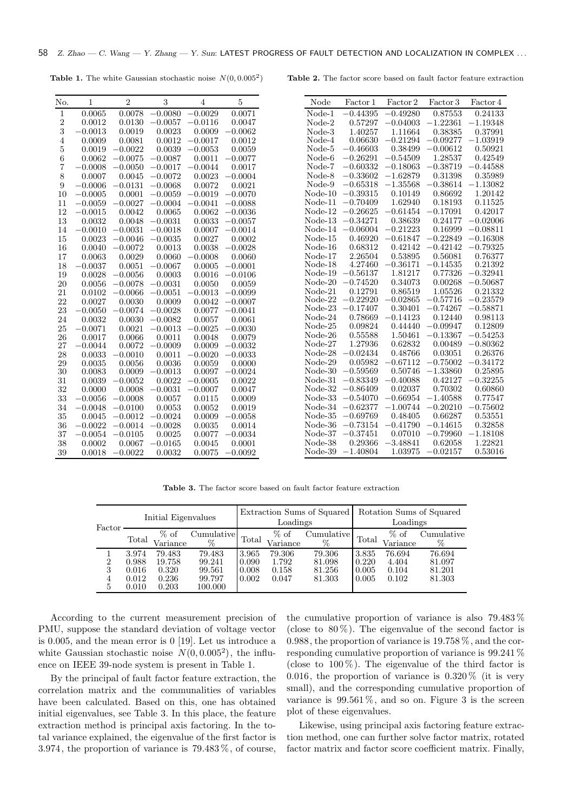**Table 1.** The white Gaussian stochastic noise  $N(0, 0.005^2)$ 

Table 2. The factor score based on fault factor feature extraction

| No.            | 1         | $\overline{2}$ | 3         | $\overline{4}$ | 5         |  |
|----------------|-----------|----------------|-----------|----------------|-----------|--|
| $\mathbf{1}$   | 0.0065    | 0.0078         | $-0.0080$ | $-0.0029$      | 0.0071    |  |
| $\overline{2}$ | 0.0012    | 0.0130         | $-0.0057$ | $-0.0116$      | 0.0047    |  |
| 3              | $-0.0013$ | 0.0019         | 0.0023    | 0.0009         | $-0.0062$ |  |
| $\overline{4}$ | 0.0009    | 0.0081         | 0.0012    | $-0.0017$      | 0.0012    |  |
| 5              | 0.0019    | $-0.0022$      | 0.0039    | $-0.0053$      | 0.0059    |  |
| 6              | 0.0062    | $-0.0075$      | $-0.0087$ | 0.0011         | $-0.0077$ |  |
| 7              | $-0.0008$ | $-0.0050$      | $-0.0017$ | 0.0044         | 0.0017    |  |
| 8              | 0.0007    | 0.0045         | $-0.0072$ | 0.0023         | $-0.0004$ |  |
| 9              | $-0.0006$ | $-0.0131$      | $-0.0068$ | 0.0072         | 0.0021    |  |
| 10             | $-0.0005$ | 0.0001         | $-0.0059$ | 0.0019         | $-0.0070$ |  |
| 11             | $-0.0059$ | $-0.0027$      | $-0.0004$ | 0.0041         | $-0.0088$ |  |
| 12             | $-0.0015$ | 0.0042         | 0.0065    | 0.0062         | $-0.0036$ |  |
| 13             | 0.0032    | 0.0048         | $-0.0031$ | 0.0033         | $-0.0057$ |  |
| 14             | $-0.0010$ | $-0.0031$      | $-0.0018$ | 0.0007         | $-0.0014$ |  |
| 15             | 0.0023    | $-0.0046$      | $-0.0035$ | 0.0027         | 0.0002    |  |
| 16             | 0.0040    | $-0.0072$      | 0.0013    | 0.0038         | $-0.0028$ |  |
| 17             | 0.0063    | 0.0029         | 0.0060    | 0.0008         | 0.0060    |  |
| 18             | $-0.0037$ | 0.0051         | $-0.0067$ | 0.0005         | $-0.0001$ |  |
| 19             | 0.0028    | $-0.0056$      | 0.0003    | 0.0016         | $-0.0106$ |  |
| 20             | 0.0056    | $-0.0078$      | $-0.0031$ | 0.0050         | 0.0059    |  |
| 21             | 0.0102    | $-0.0066$      | $-0.0051$ | 0.0013         | $-0.0099$ |  |
| 22             | 0.0027    | 0.0030         | 0.0009    | 0.0042         | $-0.0007$ |  |
| 23             | $-0.0050$ | 0.0074<br>L,   | $-0.0028$ | 0.0077         | $-0.0041$ |  |
| 24             | 0.0032    | 0.0030         | $-0.0082$ | 0.0057         | 0.0061    |  |
| 25             | $-0.0071$ | 0.0021         | $-0.0013$ | 0.0025         | $-0.0030$ |  |
| 26             | 0.0017    | 0.0066         | 0.0011    | 0.0048         | 0.0079    |  |
| 27             | $-0.0044$ | 0.0072         | $-0.0009$ | 0.0009         | $-0.0032$ |  |
| 28             | 0.0033    | 0.0010         | 0.0011    | 0.0020         | $-0.0033$ |  |
| 29             | 0.0035    | 0.0056         | 0.0036    | 0.0059         | 0.0000    |  |
| 30             | 0.0083    | 0.0009         | $-0.0013$ | 0.0097         | $-0.0024$ |  |
| 31             | 0.0039    | $-0.0052$      | 0.0022    | $-0.0005$      | 0.0022    |  |
| 32             | 0.0000    | 0.0008         | $-0.0031$ | $-0.0007$      | 0.0047    |  |
| 33             | $-0.0056$ | $-0.0008$      | 0.0057    | 0.0115         | 0.0009    |  |
| 34             | $-0.0048$ | $-0.0100$      | 0.0053    | 0.0052         | 0.0019    |  |
| 35             | 0.0045    | $-0.0012$      | $-0.0024$ | 0.0009         | 0.0058    |  |
| 36             | $-0.0022$ | $-0.0014$      | $-0.0028$ | 0.0035         | 0.0014    |  |
| 37             | $-0.0054$ | $-0.0105$      | 0.0025    | 0.0077         | $-0.0034$ |  |
| 38             | 0.0002    | 0.0067         | $-0.0165$ | 0.0045         | 0.0001    |  |
| 39             | 0.0018    | $-0.0022$      | 0.0032    | 0.0075         | $-0.0092$ |  |

| Node                 | Factor 1   | Factor 2   | Factor 3                            | Factor 4   |
|----------------------|------------|------------|-------------------------------------|------------|
| Node-1               | $-0.44395$ | $-0.49280$ | 0.87553                             | 0.24133    |
| Node-2               | 0.57297    | $-0.04003$ | $-1.22361$                          | $-1.19348$ |
| Node-3               | 1.40257    | 1.11664    | 0.38385                             | 0.37991    |
| Node-4               | 0.06630    | $-0.21294$ | $-0.09277$                          | $-1.03919$ |
| Node-5               | $-0.46603$ | 0.38499    | $-0.00612$                          | 0.50921    |
| Node-6               | $-0.26291$ | $-0.54509$ | 1.28537                             | 0.42549    |
| Node-7               | $-0.60332$ | $-0.18063$ | $-0.38719$                          | $-0.44588$ |
| Node-8               | $-0.33602$ | $-1.62879$ | 0.31398                             | 0.35989    |
| Node-9               | $-0.65318$ | $-1.35568$ | $-0.38614$                          | $-1.13082$ |
| $\rm Node\text{-}10$ | $-0.39315$ | 0.10149    | 0.86692                             | 1.20142    |
| $Node-11$            | $-0.70409$ | 1.62940    | 0.18193                             | 0.11525    |
| $Node-12$            | $-0.26625$ | $-0.61454$ | $-0.17091$                          | 0.42017    |
| $Node-13$            | $-0.34271$ | 0.38639    | 0.24177                             | $-0.02006$ |
| $Node-14$            | $-0.06004$ | $-0.21223$ | 0.16999                             | $-0.08811$ |
| $Node-15$            | 0.46920    | $-0.61847$ | $-0.22849$                          | $-0.16308$ |
| $Node-16$            | 0.68312    | 0.42142    | $-0.42142$                          | $-0.79325$ |
| Node-17              | 2.26504    | 0.53895    | 0.56081                             | 0.76377    |
| $\rm Node\text{-}18$ | 4.27460    | $-0.36171$ | $-0.14535$                          | 0.21392    |
| $Node-19$            | $-0.56137$ | 1.81217    | 0.77326                             | $-0.32941$ |
| $Node-20$            | $-0.74520$ | 0.34073    | 0.00268                             | $-0.50687$ |
| $Node-21$            | 0.12791    | 0.86519    | 1.05526                             | 0.21332    |
| $\rm Node\text{-}22$ | $-0.22920$ | $-0.02865$ | $-0.57716$                          | $-0.23579$ |
| $\rm Node\text{-}23$ | $-0.17407$ | 0.30401    | $-0.74267$                          | $-0.58871$ |
| $\rm Node\text{-}24$ | 0.78669    | $-0.14123$ | 0.12440                             | 0.98113    |
| $\rm Node\text{-}25$ | 0.09824    | 0.44440    | $-0.09947$                          | 0.12809    |
| $\rm Node\text{-}26$ | 0.55588    | 1.50461    | 0.13367<br>$\overline{\phantom{0}}$ | $-0.54253$ |
| Node-27              | 1.27936    | 0.62832    | 0.00489                             | $-0.80362$ |
| Node-28              | $-0.02434$ | 0.48766    | 0.03051                             | 0.26376    |
| Node-29              | 0.05982    | $-0.67112$ | $-0.75002$                          | $-0.34172$ |
| Node-30              | $-0.59569$ | 0.50746    | $-1.33860$                          | 0.25895    |
| $\rm Node\text{-}31$ | $-0.83349$ | $-0.40088$ | 0.42127                             | $-0.32255$ |
| $\rm Node\text{-}32$ | $-0.86409$ | 0.02037    | 0.70302                             | 0.60860    |
| Node-33              | $-0.54070$ | $-0.66954$ | $-1.40588$                          | 0.77547    |
| $Node-34$            | $-0.62377$ | $-1.00744$ | $-0.20210$                          | $-0.75602$ |
| $Node-35$            | $-0.69769$ | 0.48405    | 0.66287                             | 0.53551    |
| Node-36              | $-0.73154$ | $-0.41790$ | $-0.14615$                          | 0.32858    |
| Node-37              | $-0.37451$ | 0.07010    | $-0.79960$                          | $-1.18108$ |
| $\rm Node\text{-}38$ | 0.29366    | $-3.48841$ | 0.62058                             | 1.22821    |
| Node-39              | $-1.40804$ | 1.03975    | $-0.02157$                          | 0.53016    |

Table 3. The factor score based on fault factor feature extraction

| Factor           | Initial Eigenvalues                       |                                             | Extraction Sums of Squared<br>Loadings          |                                  |                                   | Rotation Sums of Squared<br>Loadings |                                  |                                   |                                      |
|------------------|-------------------------------------------|---------------------------------------------|-------------------------------------------------|----------------------------------|-----------------------------------|--------------------------------------|----------------------------------|-----------------------------------|--------------------------------------|
|                  | Total                                     | $%$ of<br>Variance                          | $\mathbb{C}{\text{umulative}}$<br>%             | Total                            | $%$ of<br>Variance                | Cumulative<br>%                      | Total                            | $%$ of<br>Variance                | Cumulative<br>%                      |
| 2<br>3<br>4<br>5 | 3.974<br>0.988<br>0.016<br>0.012<br>0.010 | 79.483<br>19.758<br>0.320<br>0.236<br>0.203 | 79.483<br>99.241<br>99.561<br>99.797<br>100.000 | 3.965<br>0.090<br>0.008<br>0.002 | 79.306<br>1.792<br>0.158<br>0.047 | 79.306<br>81.098<br>81.256<br>81.303 | 3.835<br>0.220<br>0.005<br>0.005 | 76.694<br>4.404<br>0.104<br>0.102 | 76.694<br>81.097<br>81.201<br>81.303 |

According to the current measurement precision of PMU, suppose the standard deviation of voltage vector is 0.005, and the mean error is 0 [19]. Let us introduce a white Gaussian stochastic noise  $N(0, 0.005^2)$ , the influence on IEEE 39-node system is present in Table 1.

By the principal of fault factor feature extraction, the correlation matrix and the communalities of variables have been calculated. Based on this, one has obtained initial eigenvalues, see Table 3. In this place, the feature extraction method is principal axis factoring. In the total variance explained, the eigenvalue of the first factor is 3.974, the proportion of variance is 79.483 %, of course, the cumulative proportion of variance is also 79.483 % (close to  $80\%$ ). The eigenvalue of the second factor is 0.988, the proportion of variance is 19.758 %, and the corresponding cumulative proportion of variance is 99.241 % (close to  $100\%$ ). The eigenvalue of the third factor is 0.016, the proportion of variance is  $0.320\%$  (it is very small), and the corresponding cumulative proportion of variance is  $99.561\%$ , and so on. Figure 3 is the screen plot of these eigenvalues.

Likewise, using principal axis factoring feature extraction method, one can further solve factor matrix, rotated factor matrix and factor score coefficient matrix. Finally,